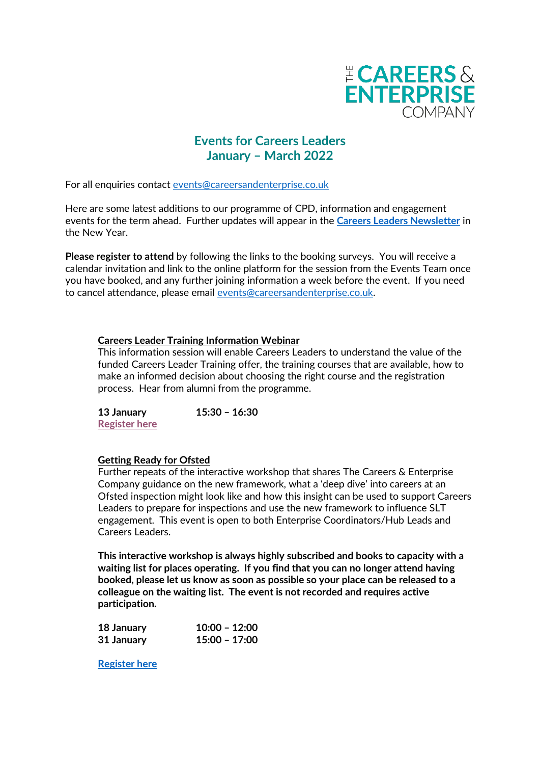

# **Events for Careers Leaders January – March 2022**

For all enquiries contact [events@careersandenterprise.co.uk](mailto:events@careersandenterprise.co.uk)

Here are some latest additions to our programme of CPD, information and engagement events for the term ahead. Further updates will appear in the **[Careers Leaders Newsletter](http://eepurl.com/gSS69r)** in the New Year.

**Please register to attend** by following the links to the booking surveys. You will receive a calendar invitation and link to the online platform for the session from the Events Team once you have booked, and any further joining information a week before the event. If you need to cancel attendance, please email [events@careersandenterprise.co.uk.](mailto:events@careersandenterprise.co.uk)

# **Careers Leader Training Information Webinar**

This information session will enable Careers Leaders to understand the value of the funded Careers Leader Training offer, the training courses that are available, how to make an informed decision about choosing the right course and the registration process. Hear from alumni from the programme.

**13 January 15:30 – 16:30 [Register here](https://us06web.zoom.us/webinar/register/WN_QiCXyys2RgyCIdyAkGAOSg)**

#### **Getting Ready for Ofsted**

Further repeats of the interactive workshop that shares The Careers & Enterprise Company guidance on the new framework, what a 'deep dive' into careers at an Ofsted inspection might look like and how this insight can be used to support Careers Leaders to prepare for inspections and use the new framework to influence SLT engagement. This event is open to both Enterprise Coordinators/Hub Leads and Careers Leaders.

**This interactive workshop is always highly subscribed and books to capacity with a waiting list for places operating. If you find that you can no longer attend having booked, please let us know as soon as possible so your place can be released to a colleague on the waiting list. The event is not recorded and requires active participation.** 

| 18 January | $10:00 - 12:00$ |
|------------|-----------------|
| 31 January | 15:00 - 17:00   |

**[Register here](https://www.surveymonkey.co.uk/r/VHTDM82)**